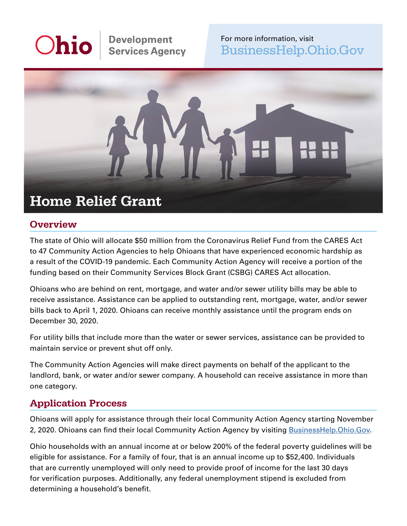# **Ohio**

**Development Services Agency** 

For more information, visit [BusinessHelp.Ohio.Gov](https://BusinessHelp.Ohio.Gov) 



# **Overview**

The state of Ohio will allocate \$50 million from the Coronavirus Relief Fund from the CARES Act to 47 Community Action Agencies to help Ohioans that have experienced economic hardship as a result of the COVID-19 pandemic. Each Community Action Agency will receive a portion of the funding based on their Community Services Block Grant (CSBG) CARES Act allocation.

Ohioans who are behind on rent, mortgage, and water and/or sewer utility bills may be able to receive assistance. Assistance can be applied to outstanding rent, mortgage, water, and/or sewer bills back to April 1, 2020. Ohioans can receive monthly assistance until the program ends on December 30, 2020.

For utility bills that include more than the water or sewer services, assistance can be provided to maintain service or prevent shut off only.

The Community Action Agencies will make direct payments on behalf of the applicant to the landlord, bank, or water and/or sewer company. A household can receive assistance in more than one category.

# Application Process

Ohioans will apply for assistance through their local Community Action Agency starting November 2, 2020. Ohioans can find their local Community Action Agency by visiting **[BusinessHelp.Ohio.Gov.](https://BusinessHelp.Ohio.Gov)** 

Ohio households with an annual income at or below 200% of the federal poverty guidelines will be eligible for assistance. For a family of four, that is an annual income up to \$52,400. Individuals that are currently unemployed will only need to provide proof of income for the last 30 days for verification purposes. Additionally, any federal unemployment stipend is excluded from determining a household's benefit.